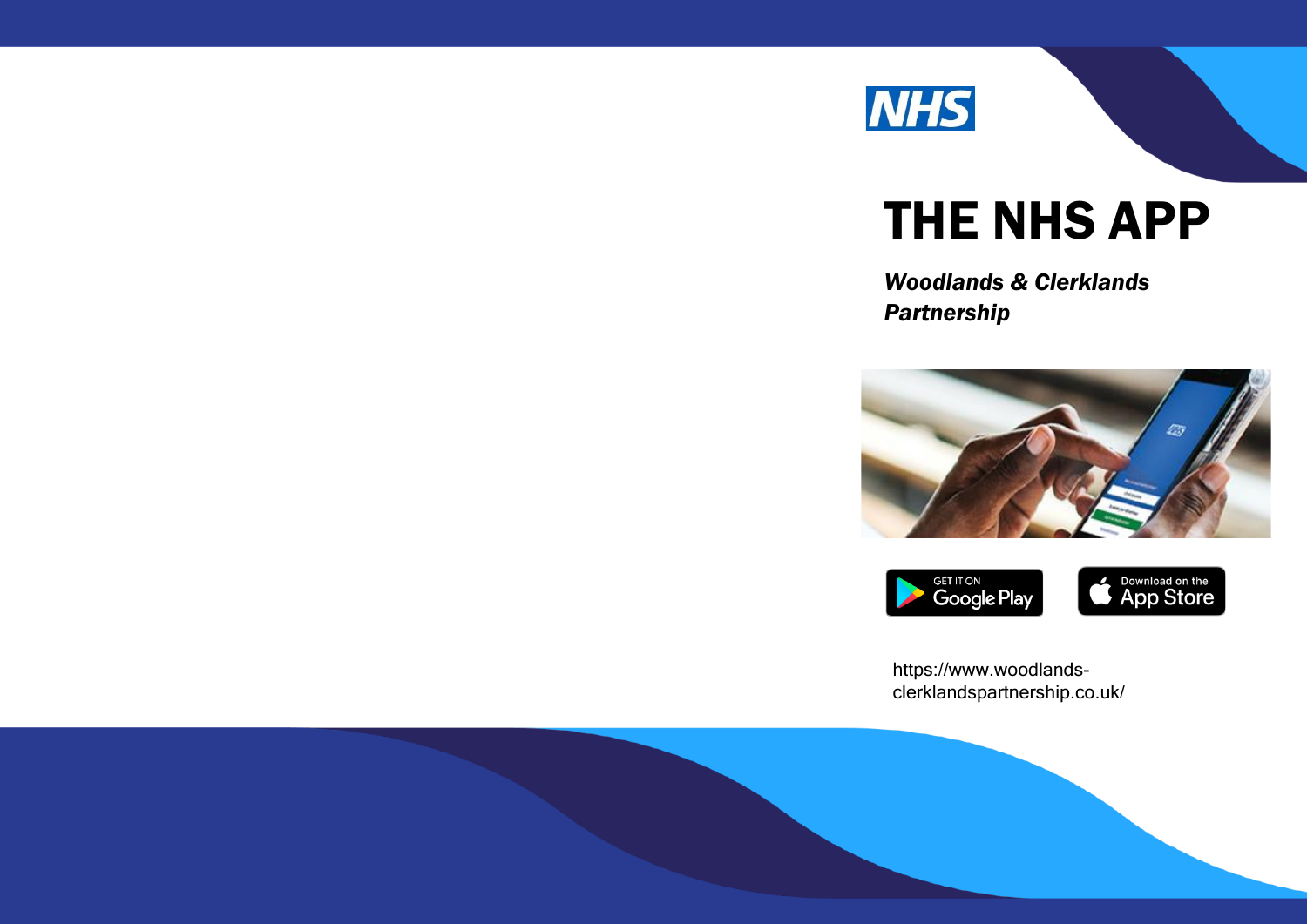

# THE NHS APP

*Woodlands & Clerklands Partnership* 



<https://www.woodlands>[clerklandspartnership.co.uk](https://clerklandspartnership.co.uk)/